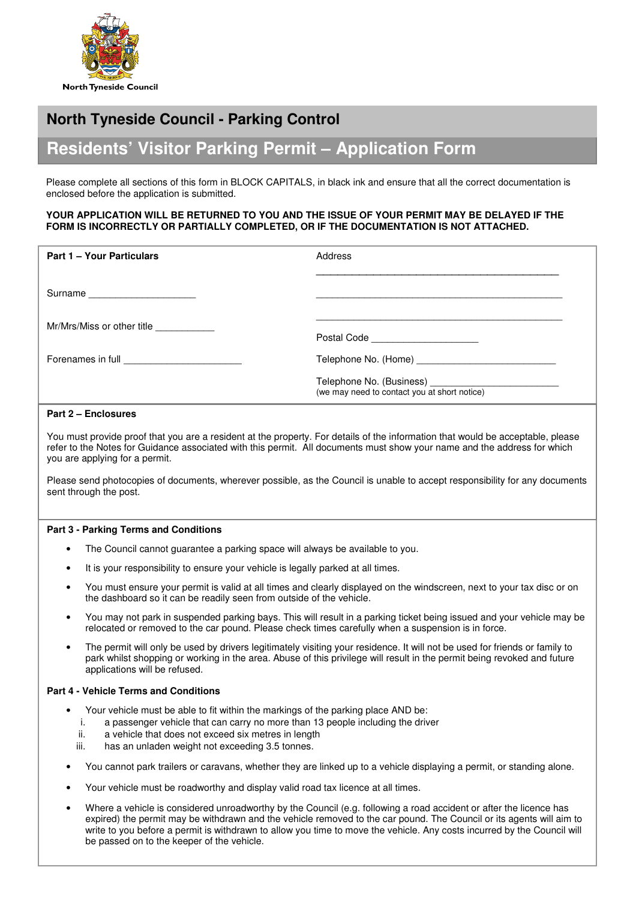

# **North Tyneside Council - Parking Control**

# **Residents' Visitor Parking Permit – Application Form**

Please complete all sections of this form in BLOCK CAPITALS, in black ink and ensure that all the correct documentation is enclosed before the application is submitted.

#### **YOUR APPLICATION WILL BE RETURNED TO YOU AND THE ISSUE OF YOUR PERMIT MAY BE DELAYED IF THE FORM IS INCORRECTLY OR PARTIALLY COMPLETED, OR IF THE DOCUMENTATION IS NOT ATTACHED.**

| <b>Part 1 - Your Particulars</b>                                                                                                                                                                                                    | Address                                      |
|-------------------------------------------------------------------------------------------------------------------------------------------------------------------------------------------------------------------------------------|----------------------------------------------|
| Surname                                                                                                                                                                                                                             |                                              |
| Mr/Mrs/Miss or other title ____________                                                                                                                                                                                             | Postal Code _______________________          |
| Forenames in full <b>Example 20</b> and Texas and Texas and Texas and Texas and Texas and Texas and Texas and Texas and Texas and Texas and Texas and Texas and Texas and Texas and Texas and Texas and Texas and Texas and Texas a |                                              |
|                                                                                                                                                                                                                                     | (we may need to contact you at short notice) |

## **Part 2 – Enclosures**

You must provide proof that you are a resident at the property. For details of the information that would be acceptable, please refer to the Notes for Guidance associated with this permit. All documents must show your name and the address for which you are applying for a permit.

Please send photocopies of documents, wherever possible, as the Council is unable to accept responsibility for any documents sent through the post.

### **Part 3 - Parking Terms and Conditions**

- The Council cannot guarantee a parking space will always be available to you.
- It is your responsibility to ensure your vehicle is legally parked at all times.
- You must ensure your permit is valid at all times and clearly displayed on the windscreen, next to your tax disc or on the dashboard so it can be readily seen from outside of the vehicle.
- You may not park in suspended parking bays. This will result in a parking ticket being issued and your vehicle may be relocated or removed to the car pound. Please check times carefully when a suspension is in force.
- The permit will only be used by drivers legitimately visiting your residence. It will not be used for friends or family to park whilst shopping or working in the area. Abuse of this privilege will result in the permit being revoked and future applications will be refused.

### **Part 4 - Vehicle Terms and Conditions**

- Your vehicle must be able to fit within the markings of the parking place AND be:
- i. a passenger vehicle that can carry no more than 13 people including the driver
- ii. a vehicle that does not exceed six metres in length
- iii. has an unladen weight not exceeding 3.5 tonnes.
- You cannot park trailers or caravans, whether they are linked up to a vehicle displaying a permit, or standing alone.
- Your vehicle must be roadworthy and display valid road tax licence at all times.
- Where a vehicle is considered unroadworthy by the Council (e.g. following a road accident or after the licence has expired) the permit may be withdrawn and the vehicle removed to the car pound. The Council or its agents will aim to write to you before a permit is withdrawn to allow you time to move the vehicle. Any costs incurred by the Council will be passed on to the keeper of the vehicle.